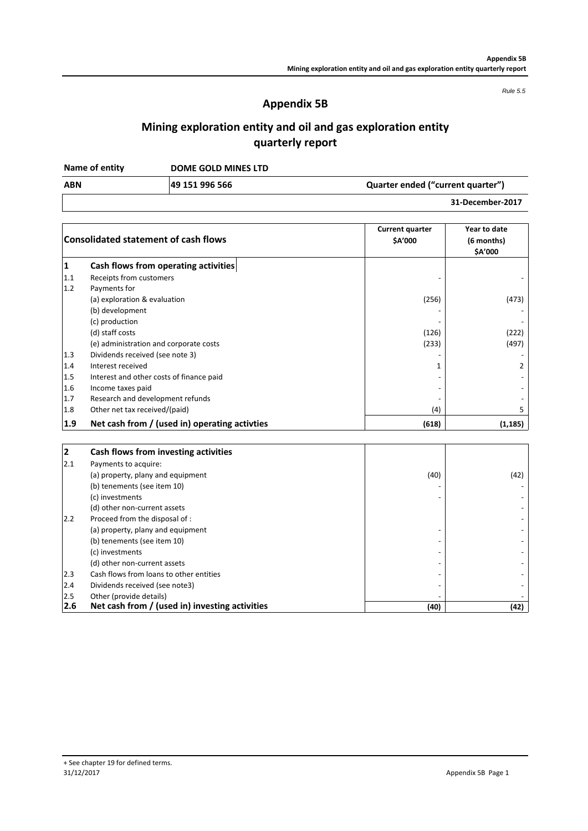*Rule 5.5*

# **Appendix 5B**

# **Mining exploration entity and oil and gas exploration entity quarterly report**

**DOME GOLD MINES LTD Name of entity**

| ABN | 49 151 996 566 | Quarter ended ("current quarter") |
|-----|----------------|-----------------------------------|
|     |                | 31-December-2017                  |

|     | <b>Consolidated statement of cash flows</b>    | <b>Current quarter</b><br>\$A'000 | Year to date<br>(6 months)<br>\$A'000 |
|-----|------------------------------------------------|-----------------------------------|---------------------------------------|
| 1   | Cash flows from operating activities           |                                   |                                       |
| 1.1 | Receipts from customers                        |                                   |                                       |
| 1.2 | Payments for                                   |                                   |                                       |
|     | (a) exploration & evaluation                   | (256)                             | (473)                                 |
|     | (b) development                                |                                   |                                       |
|     | (c) production                                 |                                   |                                       |
|     | (d) staff costs                                | (126)                             | (222)                                 |
|     | (e) administration and corporate costs         | (233)                             | (497)                                 |
| 1.3 | Dividends received (see note 3)                |                                   |                                       |
| 1.4 | Interest received                              | 1                                 |                                       |
| 1.5 | Interest and other costs of finance paid       |                                   |                                       |
| 1.6 | Income taxes paid                              | $\overline{\phantom{a}}$          |                                       |
| 1.7 | Research and development refunds               |                                   |                                       |
| 1.8 | Other net tax received/(paid)                  | (4)                               | 5.                                    |
| 1.9 | Net cash from / (used in) operating activities | (618)                             | (1, 185)                              |

| 2   | Cash flows from investing activities           |      |      |
|-----|------------------------------------------------|------|------|
| 2.1 | Payments to acquire:                           |      |      |
|     | (a) property, plany and equipment              | (40) | (42) |
|     | (b) tenements (see item 10)                    |      |      |
|     | (c) investments                                |      |      |
|     | (d) other non-current assets                   |      |      |
| 2.2 | Proceed from the disposal of :                 |      |      |
|     | (a) property, plany and equipment              |      |      |
|     | (b) tenements (see item 10)                    |      |      |
|     | (c) investments                                |      |      |
|     | (d) other non-current assets                   |      |      |
| 2.3 | Cash flows from loans to other entities        |      |      |
| 2.4 | Dividends received (see note3)                 |      |      |
| 2.5 | Other (provide details)                        |      |      |
| 2.6 | Net cash from / (used in) investing activities | (40) | (42) |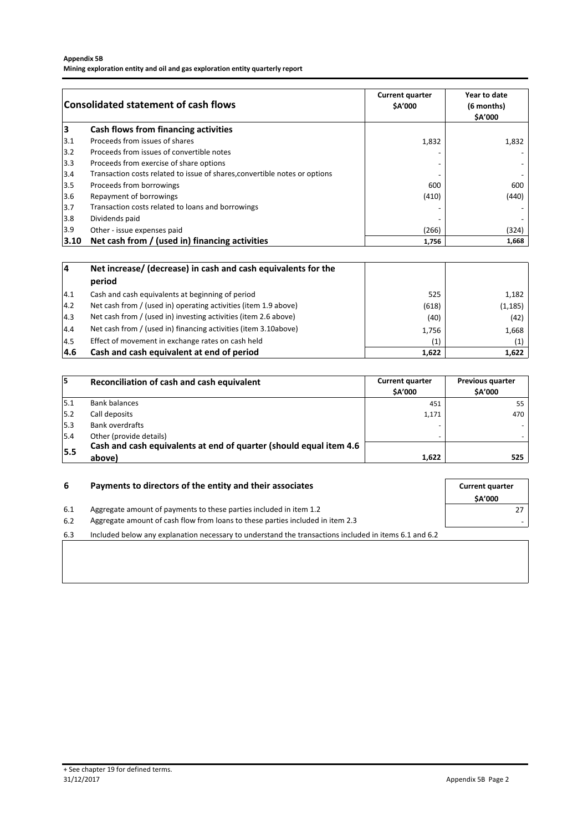### **Appendix 5B**

**Mining exploration entity and oil and gas exploration entity quarterly report**

|      | Consolidated statement of cash flows                                       | <b>Current quarter</b><br><b>SA'000</b> | Year to date<br>(6 months)<br><b>SA'000</b> |
|------|----------------------------------------------------------------------------|-----------------------------------------|---------------------------------------------|
| 3    | Cash flows from financing activities                                       |                                         |                                             |
| 3.1  | Proceeds from issues of shares                                             | 1,832                                   | 1,832                                       |
| 3.2  | Proceeds from issues of convertible notes                                  |                                         |                                             |
| 3.3  | Proceeds from exercise of share options                                    |                                         |                                             |
| 3.4  | Transaction costs related to issue of shares, convertible notes or options |                                         |                                             |
| 3.5  | Proceeds from borrowings                                                   | 600                                     | 600                                         |
| 3.6  | Repayment of borrowings                                                    | (410)                                   | (440)                                       |
| 3.7  | Transaction costs related to loans and borrowings                          |                                         |                                             |
| 3.8  | Dividends paid                                                             |                                         |                                             |
| 3.9  | Other - issue expenses paid                                                | (266)                                   | (324)                                       |
| 3.10 | Net cash from / (used in) financing activities                             | 1,756                                   | 1,668                                       |

| 14            | Net increase/ (decrease) in cash and cash equivalents for the<br>period |       |          |
|---------------|-------------------------------------------------------------------------|-------|----------|
| 14.1          | Cash and cash equivalents at beginning of period                        | 525   | 1,182    |
| 4.2           | Net cash from / (used in) operating activities (item 1.9 above)         | (618) | (1, 185) |
| $ 4.3\rangle$ | Net cash from / (used in) investing activities (item 2.6 above)         | (40)  | (42)     |
| 14.4          | Net cash from / (used in) financing activities (item 3.10above)         | 1,756 | 1,668    |
| 14.5          | Effect of movement in exchange rates on cash held                       | (1)   | (1)      |
| 4.6           | Cash and cash equivalent at end of period                               | 1,622 | 1,622    |

| 15  | Reconciliation of cash and cash equivalent                         | <b>Current quarter</b><br><b>SA'000</b> | <b>Previous quarter</b><br><b>\$A'000</b> |
|-----|--------------------------------------------------------------------|-----------------------------------------|-------------------------------------------|
| 5.1 | <b>Bank balances</b>                                               | 451                                     | 55                                        |
| 5.2 | Call deposits                                                      | 1.171                                   | 470                                       |
| 5.3 | <b>Bank overdrafts</b>                                             |                                         |                                           |
| 5.4 | Other (provide details)                                            |                                         |                                           |
|     | Cash and cash equivalents at end of quarter (should equal item 4.6 |                                         |                                           |
| 5.5 | above)                                                             | 1,622                                   | 525                                       |

| -6  | Payments to directors of the entity and their associates                                              |               |
|-----|-------------------------------------------------------------------------------------------------------|---------------|
|     |                                                                                                       | <b>SA'000</b> |
| 6.1 | Aggregate amount of payments to these parties included in item 1.2                                    |               |
| 6.2 | Aggregate amount of cash flow from loans to these parties included in item 2.3                        |               |
| 6.3 | Included below any explanation necessary to understand the transactions included in items 6.1 and 6.2 |               |
|     |                                                                                                       |               |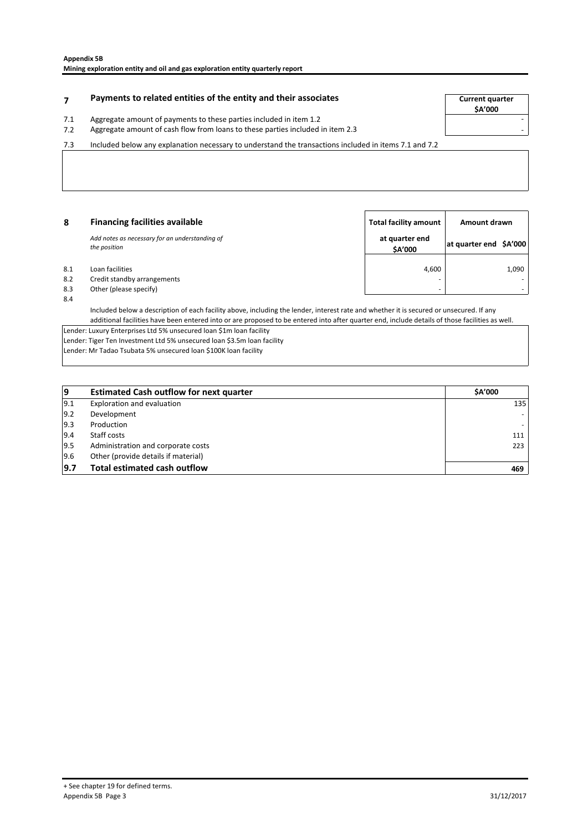# **Payments to related entities of the entity and their associates Example 20 Tay 12 Current quarter**

**\$A'000**

- 7.1 Aggregate amount of payments to these parties included in item 1.2
- 7.2 Aggregate amount of cash flow from loans to these parties included in item 2.3

7.3 Included below any explanation necessary to understand the transactions included in items 7.1 and 7.2

| -8                | <b>Financing facilities available</b>                                    | Total facility amount     | Amount drawn           |       |
|-------------------|--------------------------------------------------------------------------|---------------------------|------------------------|-------|
|                   | Add notes as necessary for an understanding of<br>the position           | at quarter end<br>\$A'000 | at quarter end \$A'000 |       |
| 8.1<br>8.2<br>8.3 | Loan facilities<br>Credit standby arrangements<br>Other (please specify) | 4,600<br>-                |                        | 1,090 |

8.4

Included below a description of each facility above, including the lender, interest rate and whether it is secured or unsecured. If any additional facilities have been entered into or are proposed to be entered into after quarter end, include details of those facilities as well.

Lender: Luxury Enterprises Ltd 5% unsecured loan \$1m loan facility

Lender: Tiger Ten Investment Ltd 5% unsecured loan \$3.5m loan facility Lender: Mr Tadao Tsubata 5% unsecured loan \$100K loan facility

| 19   | <b>Estimated Cash outflow for next quarter</b> | <b>SA'000</b> |
|------|------------------------------------------------|---------------|
| 19.1 | Exploration and evaluation                     | 135           |
| 9.2  | Development                                    |               |
| 9.3  | Production                                     |               |
| 19.4 | Staff costs                                    | 111           |
| 9.5  | Administration and corporate costs             | 223           |
| 9.6  | Other (provide details if material)            |               |
| 9.7  | <b>Total estimated cash outflow</b>            | 469           |